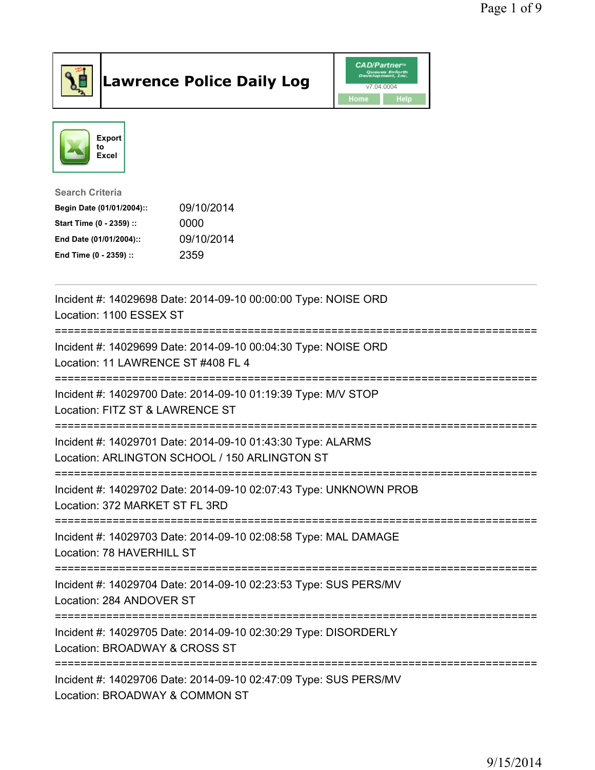

## Lawrence Police Daily Log **Daniel CAD/Partner**





Search Criteria Begin Date (01/01/2004):: 09/10/2014 Start Time (0 - 2359) :: 0000 End Date (01/01/2004):: 09/10/2014 End Time (0 - 2359) :: 2359

| Incident #: 14029698 Date: 2014-09-10 00:00:00 Type: NOISE ORD<br>Location: 1100 ESSEX ST<br>=================                                    |
|---------------------------------------------------------------------------------------------------------------------------------------------------|
| Incident #: 14029699 Date: 2014-09-10 00:04:30 Type: NOISE ORD<br>Location: 11 LAWRENCE ST #408 FL 4<br>==============================            |
| Incident #: 14029700 Date: 2014-09-10 01:19:39 Type: M/V STOP<br>Location: FITZ ST & LAWRENCE ST                                                  |
| Incident #: 14029701 Date: 2014-09-10 01:43:30 Type: ALARMS<br>Location: ARLINGTON SCHOOL / 150 ARLINGTON ST<br>:================================ |
| Incident #: 14029702 Date: 2014-09-10 02:07:43 Type: UNKNOWN PROB<br>Location: 372 MARKET ST FL 3RD                                               |
| Incident #: 14029703 Date: 2014-09-10 02:08:58 Type: MAL DAMAGE<br>Location: 78 HAVERHILL ST                                                      |
| Incident #: 14029704 Date: 2014-09-10 02:23:53 Type: SUS PERS/MV<br>Location: 284 ANDOVER ST<br>                                                  |
| Incident #: 14029705 Date: 2014-09-10 02:30:29 Type: DISORDERLY<br>Location: BROADWAY & CROSS ST                                                  |
| Incident #: 14029706 Date: 2014-09-10 02:47:09 Type: SUS PERS/MV<br>Location: BROADWAY & COMMON ST                                                |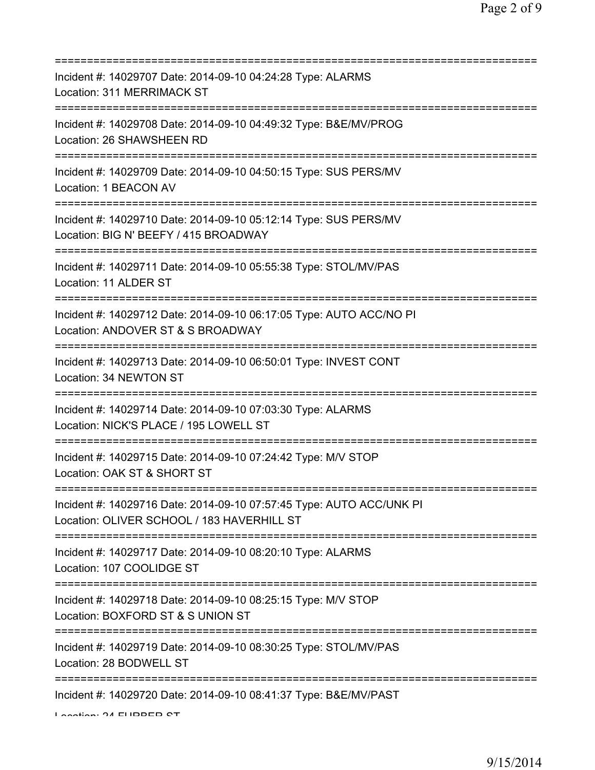| Incident #: 14029707 Date: 2014-09-10 04:24:28 Type: ALARMS<br>Location: 311 MERRIMACK ST<br>=======================                                         |
|--------------------------------------------------------------------------------------------------------------------------------------------------------------|
| Incident #: 14029708 Date: 2014-09-10 04:49:32 Type: B&E/MV/PROG<br>Location: 26 SHAWSHEEN RD<br>=======================                                     |
| Incident #: 14029709 Date: 2014-09-10 04:50:15 Type: SUS PERS/MV<br>Location: 1 BEACON AV                                                                    |
| Incident #: 14029710 Date: 2014-09-10 05:12:14 Type: SUS PERS/MV<br>Location: BIG N' BEEFY / 415 BROADWAY                                                    |
| Incident #: 14029711 Date: 2014-09-10 05:55:38 Type: STOL/MV/PAS<br>Location: 11 ALDER ST<br>;================================                               |
| Incident #: 14029712 Date: 2014-09-10 06:17:05 Type: AUTO ACC/NO PI<br>Location: ANDOVER ST & S BROADWAY<br>===================                              |
| Incident #: 14029713 Date: 2014-09-10 06:50:01 Type: INVEST CONT<br>Location: 34 NEWTON ST                                                                   |
| Incident #: 14029714 Date: 2014-09-10 07:03:30 Type: ALARMS<br>Location: NICK'S PLACE / 195 LOWELL ST                                                        |
| Incident #: 14029715 Date: 2014-09-10 07:24:42 Type: M/V STOP<br>Location: OAK ST & SHORT ST                                                                 |
| Incident #: 14029716 Date: 2014-09-10 07:57:45 Type: AUTO ACC/UNK PI<br>Location: OLIVER SCHOOL / 183 HAVERHILL ST<br>====================================== |
| Incident #: 14029717 Date: 2014-09-10 08:20:10 Type: ALARMS<br>Location: 107 COOLIDGE ST                                                                     |
| =====================================<br>Incident #: 14029718 Date: 2014-09-10 08:25:15 Type: M/V STOP<br>Location: BOXFORD ST & S UNION ST                  |
| Incident #: 14029719 Date: 2014-09-10 08:30:25 Type: STOL/MV/PAS<br>Location: 28 BODWELL ST                                                                  |
| Incident #: 14029720 Date: 2014-09-10 08:41:37 Type: B&E/MV/PAST                                                                                             |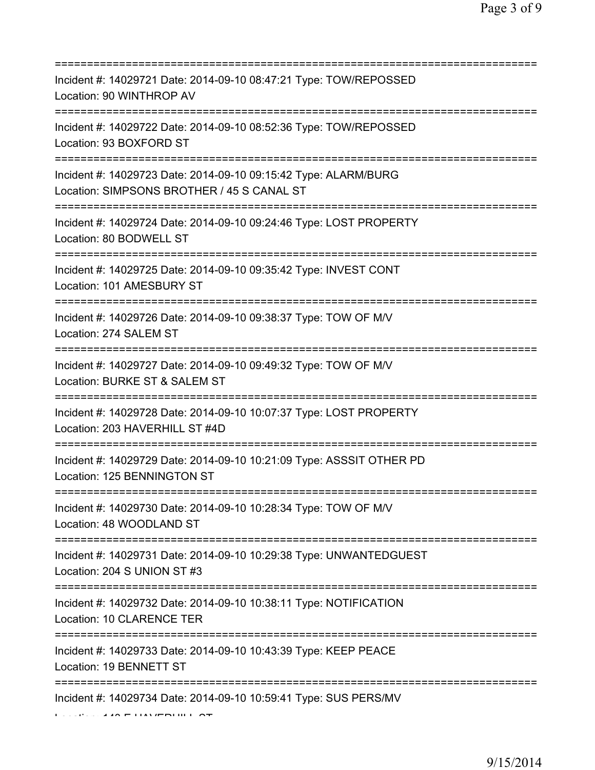| Incident #: 14029721 Date: 2014-09-10 08:47:21 Type: TOW/REPOSSED<br>Location: 90 WINTHROP AV                       |
|---------------------------------------------------------------------------------------------------------------------|
| Incident #: 14029722 Date: 2014-09-10 08:52:36 Type: TOW/REPOSSED<br>Location: 93 BOXFORD ST                        |
| Incident #: 14029723 Date: 2014-09-10 09:15:42 Type: ALARM/BURG<br>Location: SIMPSONS BROTHER / 45 S CANAL ST       |
| Incident #: 14029724 Date: 2014-09-10 09:24:46 Type: LOST PROPERTY<br>Location: 80 BODWELL ST                       |
| Incident #: 14029725 Date: 2014-09-10 09:35:42 Type: INVEST CONT<br>Location: 101 AMESBURY ST                       |
| Incident #: 14029726 Date: 2014-09-10 09:38:37 Type: TOW OF M/V<br>Location: 274 SALEM ST                           |
| Incident #: 14029727 Date: 2014-09-10 09:49:32 Type: TOW OF M/V<br>Location: BURKE ST & SALEM ST                    |
| Incident #: 14029728 Date: 2014-09-10 10:07:37 Type: LOST PROPERTY<br>Location: 203 HAVERHILL ST #4D                |
| Incident #: 14029729 Date: 2014-09-10 10:21:09 Type: ASSSIT OTHER PD<br>Location: 125 BENNINGTON ST                 |
| Incident #: 14029730 Date: 2014-09-10 10:28:34 Type: TOW OF M/V<br>Location: 48 WOODLAND ST                         |
| Incident #: 14029731 Date: 2014-09-10 10:29:38 Type: UNWANTEDGUEST<br>Location: 204 S UNION ST #3                   |
| Incident #: 14029732 Date: 2014-09-10 10:38:11 Type: NOTIFICATION<br>Location: 10 CLARENCE TER                      |
| Incident #: 14029733 Date: 2014-09-10 10:43:39 Type: KEEP PEACE<br>Location: 19 BENNETT ST                          |
| Incident #: 14029734 Date: 2014-09-10 10:59:41 Type: SUS PERS/MV<br>$\lambda$ And $\Gamma$ is interesting to $\tau$ |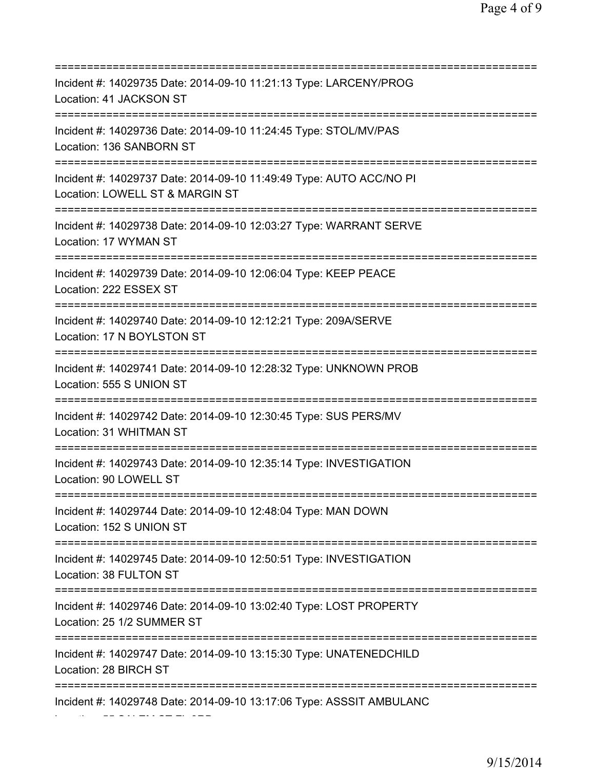=========================================================================== Incident #: 14029735 Date: 2014-09-10 11:21:13 Type: LARCENY/PROG Location: 41 JACKSON ST =========================================================================== Incident #: 14029736 Date: 2014-09-10 11:24:45 Type: STOL/MV/PAS Location: 136 SANBORN ST =========================================================================== Incident #: 14029737 Date: 2014-09-10 11:49:49 Type: AUTO ACC/NO PI Location: LOWELL ST & MARGIN ST =========================================================================== Incident #: 14029738 Date: 2014-09-10 12:03:27 Type: WARRANT SERVE Location: 17 WYMAN ST =========================================================================== Incident #: 14029739 Date: 2014-09-10 12:06:04 Type: KEEP PEACE Location: 222 ESSEX ST =========================================================================== Incident #: 14029740 Date: 2014-09-10 12:12:21 Type: 209A/SERVE Location: 17 N BOYLSTON ST =========================================================================== Incident #: 14029741 Date: 2014-09-10 12:28:32 Type: UNKNOWN PROB Location: 555 S UNION ST =========================================================================== Incident #: 14029742 Date: 2014-09-10 12:30:45 Type: SUS PERS/MV Location: 31 WHITMAN ST =========================================================================== Incident #: 14029743 Date: 2014-09-10 12:35:14 Type: INVESTIGATION Location: 90 LOWELL ST =========================================================================== Incident #: 14029744 Date: 2014-09-10 12:48:04 Type: MAN DOWN Location: 152 S UNION ST =========================================================================== Incident #: 14029745 Date: 2014-09-10 12:50:51 Type: INVESTIGATION Location: 38 FULTON ST =========================================================================== Incident #: 14029746 Date: 2014-09-10 13:02:40 Type: LOST PROPERTY Location: 25 1/2 SUMMER ST =========================================================================== Incident #: 14029747 Date: 2014-09-10 13:15:30 Type: UNATENEDCHILD Location: 28 BIRCH ST =========================================================================== Incident #: 14029748 Date: 2014-09-10 13:17:06 Type: ASSSIT AMBULANC Location: 55 SALEM ST FL 3RD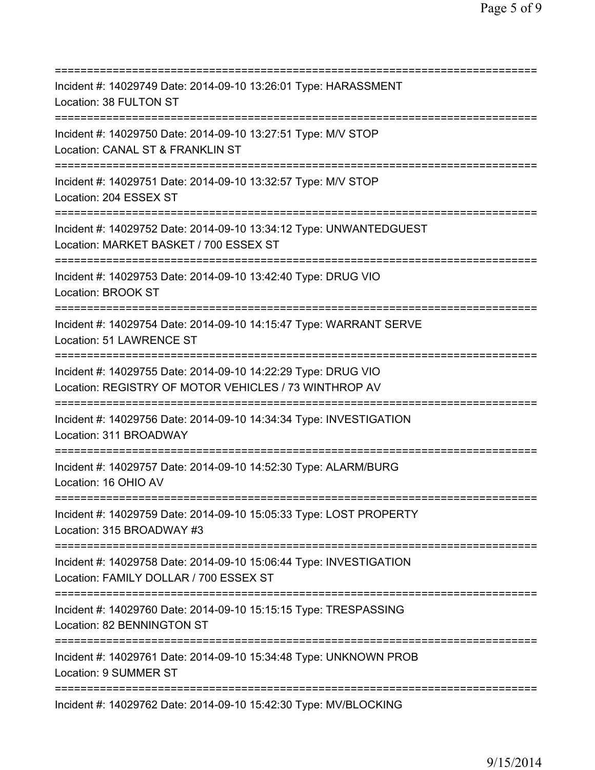| Incident #: 14029749 Date: 2014-09-10 13:26:01 Type: HARASSMENT<br>Location: 38 FULTON ST                                                             |
|-------------------------------------------------------------------------------------------------------------------------------------------------------|
| Incident #: 14029750 Date: 2014-09-10 13:27:51 Type: M/V STOP<br>Location: CANAL ST & FRANKLIN ST                                                     |
| Incident #: 14029751 Date: 2014-09-10 13:32:57 Type: M/V STOP<br>Location: 204 ESSEX ST                                                               |
| Incident #: 14029752 Date: 2014-09-10 13:34:12 Type: UNWANTEDGUEST<br>Location: MARKET BASKET / 700 ESSEX ST                                          |
| Incident #: 14029753 Date: 2014-09-10 13:42:40 Type: DRUG VIO<br>Location: BROOK ST<br>================================                               |
| Incident #: 14029754 Date: 2014-09-10 14:15:47 Type: WARRANT SERVE<br>Location: 51 LAWRENCE ST                                                        |
| Incident #: 14029755 Date: 2014-09-10 14:22:29 Type: DRUG VIO<br>Location: REGISTRY OF MOTOR VEHICLES / 73 WINTHROP AV                                |
| Incident #: 14029756 Date: 2014-09-10 14:34:34 Type: INVESTIGATION<br>Location: 311 BROADWAY                                                          |
| Incident #: 14029757 Date: 2014-09-10 14:52:30 Type: ALARM/BURG<br>Location: 16 OHIO AV                                                               |
| Incident #: 14029759 Date: 2014-09-10 15:05:33 Type: LOST PROPERTY<br>Location: 315 BROADWAY #3                                                       |
| Incident #: 14029758 Date: 2014-09-10 15:06:44 Type: INVESTIGATION<br>Location: FAMILY DOLLAR / 700 ESSEX ST<br>===================================== |
| Incident #: 14029760 Date: 2014-09-10 15:15:15 Type: TRESPASSING<br>Location: 82 BENNINGTON ST                                                        |
| Incident #: 14029761 Date: 2014-09-10 15:34:48 Type: UNKNOWN PROB<br>Location: 9 SUMMER ST                                                            |
| Incident #: 14029762 Date: 2014-09-10 15:42:30 Type: MV/BLOCKING                                                                                      |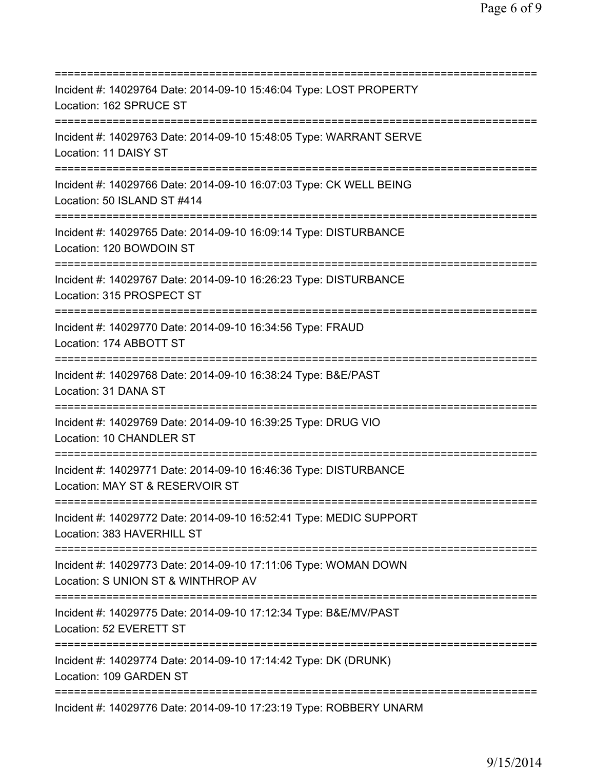=========================================================================== Incident #: 14029764 Date: 2014-09-10 15:46:04 Type: LOST PROPERTY Location: 162 SPRUCE ST =========================================================================== Incident #: 14029763 Date: 2014-09-10 15:48:05 Type: WARRANT SERVE Location: 11 DAISY ST =========================================================================== Incident #: 14029766 Date: 2014-09-10 16:07:03 Type: CK WELL BEING Location: 50 ISLAND ST #414 =========================================================================== Incident #: 14029765 Date: 2014-09-10 16:09:14 Type: DISTURBANCE Location: 120 BOWDOIN ST =========================================================================== Incident #: 14029767 Date: 2014-09-10 16:26:23 Type: DISTURBANCE Location: 315 PROSPECT ST =========================================================================== Incident #: 14029770 Date: 2014-09-10 16:34:56 Type: FRAUD Location: 174 ABBOTT ST =========================================================================== Incident #: 14029768 Date: 2014-09-10 16:38:24 Type: B&E/PAST Location: 31 DANA ST =========================================================================== Incident #: 14029769 Date: 2014-09-10 16:39:25 Type: DRUG VIO Location: 10 CHANDLER ST =========================================================================== Incident #: 14029771 Date: 2014-09-10 16:46:36 Type: DISTURBANCE Location: MAY ST & RESERVOIR ST =========================================================================== Incident #: 14029772 Date: 2014-09-10 16:52:41 Type: MEDIC SUPPORT Location: 383 HAVERHILL ST =========================================================================== Incident #: 14029773 Date: 2014-09-10 17:11:06 Type: WOMAN DOWN Location: S UNION ST & WINTHROP AV =========================================================================== Incident #: 14029775 Date: 2014-09-10 17:12:34 Type: B&E/MV/PAST Location: 52 EVERETT ST =========================================================================== Incident #: 14029774 Date: 2014-09-10 17:14:42 Type: DK (DRUNK) Location: 109 GARDEN ST =========================================================================== Incident #: 14029776 Date: 2014-09-10 17:23:19 Type: ROBBERY UNARM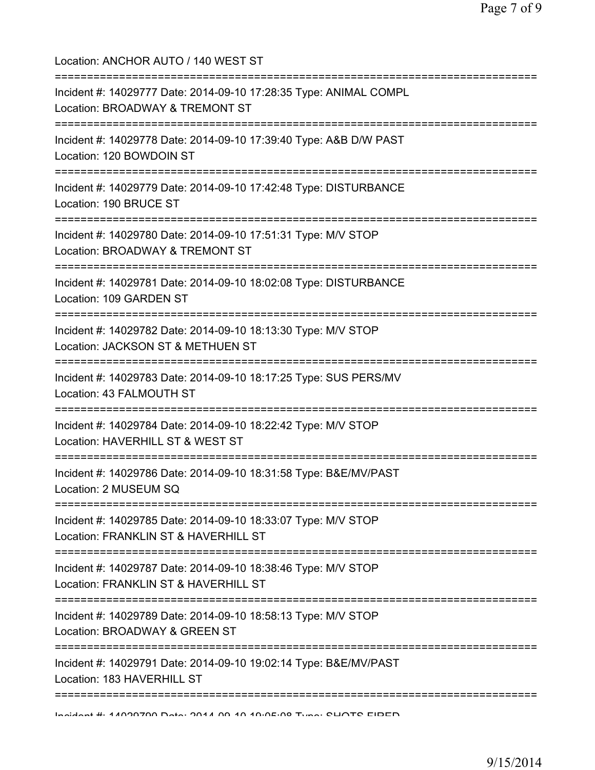Location: ANCHOR AUTO / 140 WEST ST =========================================================================== Incident #: 14029777 Date: 2014-09-10 17:28:35 Type: ANIMAL COMPL Location: BROADWAY & TREMONT ST =========================================================================== Incident #: 14029778 Date: 2014-09-10 17:39:40 Type: A&B D/W PAST Location: 120 BOWDOIN ST =========================================================================== Incident #: 14029779 Date: 2014-09-10 17:42:48 Type: DISTURBANCE Location: 190 BRUCE ST =========================================================================== Incident #: 14029780 Date: 2014-09-10 17:51:31 Type: M/V STOP Location: BROADWAY & TREMONT ST =========================================================================== Incident #: 14029781 Date: 2014-09-10 18:02:08 Type: DISTURBANCE Location: 109 GARDEN ST =========================================================================== Incident #: 14029782 Date: 2014-09-10 18:13:30 Type: M/V STOP Location: JACKSON ST & METHUEN ST =========================================================================== Incident #: 14029783 Date: 2014-09-10 18:17:25 Type: SUS PERS/MV Location: 43 FALMOUTH ST =========================================================================== Incident #: 14029784 Date: 2014-09-10 18:22:42 Type: M/V STOP Location: HAVERHILL ST & WEST ST =========================================================================== Incident #: 14029786 Date: 2014-09-10 18:31:58 Type: B&E/MV/PAST Location: 2 MUSEUM SQ =========================================================================== Incident #: 14029785 Date: 2014-09-10 18:33:07 Type: M/V STOP Location: FRANKLIN ST & HAVERHILL ST =========================================================================== Incident #: 14029787 Date: 2014-09-10 18:38:46 Type: M/V STOP Location: FRANKLIN ST & HAVERHILL ST =========================================================================== Incident #: 14029789 Date: 2014-09-10 18:58:13 Type: M/V STOP Location: BROADWAY & GREEN ST =========================================================================== Incident #: 14029791 Date: 2014-09-10 19:02:14 Type: B&E/MV/PAST Location: 183 HAVERHILL ST ===========================================================================

Incident #: 14029790 Date: 2014 09 10 19:05:08 Type: SHOTS FIRED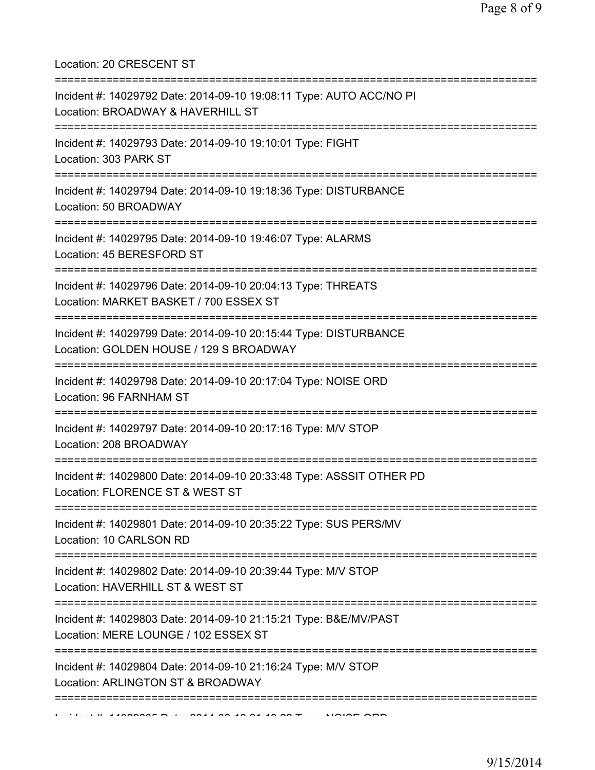Location: 20 CRESCENT ST

| Incident #: 14029792 Date: 2014-09-10 19:08:11 Type: AUTO ACC/NO PI<br>Location: BROADWAY & HAVERHILL ST                                       |
|------------------------------------------------------------------------------------------------------------------------------------------------|
| Incident #: 14029793 Date: 2014-09-10 19:10:01 Type: FIGHT<br>Location: 303 PARK ST                                                            |
| Incident #: 14029794 Date: 2014-09-10 19:18:36 Type: DISTURBANCE<br>Location: 50 BROADWAY                                                      |
| Incident #: 14029795 Date: 2014-09-10 19:46:07 Type: ALARMS<br>Location: 45 BERESFORD ST<br>------------------------------------               |
| Incident #: 14029796 Date: 2014-09-10 20:04:13 Type: THREATS<br>Location: MARKET BASKET / 700 ESSEX ST<br>-=================================== |
| Incident #: 14029799 Date: 2014-09-10 20:15:44 Type: DISTURBANCE<br>Location: GOLDEN HOUSE / 129 S BROADWAY                                    |
| Incident #: 14029798 Date: 2014-09-10 20:17:04 Type: NOISE ORD<br>Location: 96 FARNHAM ST                                                      |
| Incident #: 14029797 Date: 2014-09-10 20:17:16 Type: M/V STOP<br>Location: 208 BROADWAY                                                        |
| Incident #: 14029800 Date: 2014-09-10 20:33:48 Type: ASSSIT OTHER PD<br>Location: FLORENCE ST & WEST ST                                        |
| ==========<br>Incident #: 14029801 Date: 2014-09-10 20:35:22 Type: SUS PERS/MV<br>Location: 10 CARLSON RD                                      |
| =========================<br>Incident #: 14029802 Date: 2014-09-10 20:39:44 Type: M/V STOP<br>Location: HAVERHILL ST & WEST ST                 |
| Incident #: 14029803 Date: 2014-09-10 21:15:21 Type: B&E/MV/PAST<br>Location: MERE LOUNGE / 102 ESSEX ST                                       |
| Incident #: 14029804 Date: 2014-09-10 21:16:24 Type: M/V STOP<br>Location: ARLINGTON ST & BROADWAY                                             |
|                                                                                                                                                |